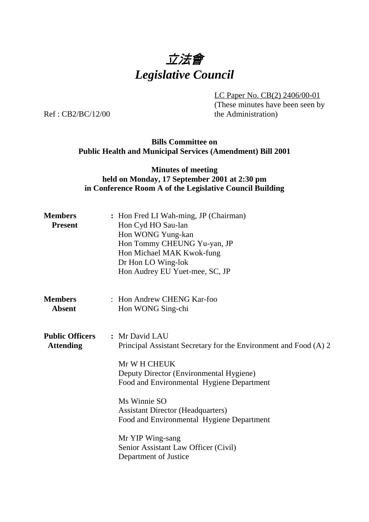

LC Paper No. CB(2) 2406/00-01

(These minutes have been seen by the Administration)

Ref : CB2/BC/12/00

## **Bills Committee on Public Health and Municipal Services (Amendment) Bill 2001**

## **Minutes of meeting held on Monday, 17 September 2001 at 2:30 pm in Conference Room A of the Legislative Council Building**

| <b>Members</b><br><b>Present</b>           | : Hon Fred LI Wah-ming, JP (Chairman)<br>Hon Cyd HO Sau-lan<br>Hon WONG Yung-kan<br>Hon Tommy CHEUNG Yu-yan, JP<br>Hon Michael MAK Kwok-fung<br>Dr Hon LO Wing-lok<br>Hon Audrey EU Yuet-mee, SC, JP                                                                                                                                                                                     |
|--------------------------------------------|------------------------------------------------------------------------------------------------------------------------------------------------------------------------------------------------------------------------------------------------------------------------------------------------------------------------------------------------------------------------------------------|
| <b>Members</b><br><b>Absent</b>            | : Hon Andrew CHENG Kar-foo<br>Hon WONG Sing-chi                                                                                                                                                                                                                                                                                                                                          |
| <b>Public Officers</b><br><b>Attending</b> | : Mr David LAU<br>Principal Assistant Secretary for the Environment and Food (A) 2<br>Mr W H CHEUK<br>Deputy Director (Environmental Hygiene)<br>Food and Environmental Hygiene Department<br>Ms Winnie SO<br><b>Assistant Director (Headquarters)</b><br>Food and Environmental Hygiene Department<br>Mr YIP Wing-sang<br>Senior Assistant Law Officer (Civil)<br>Department of Justice |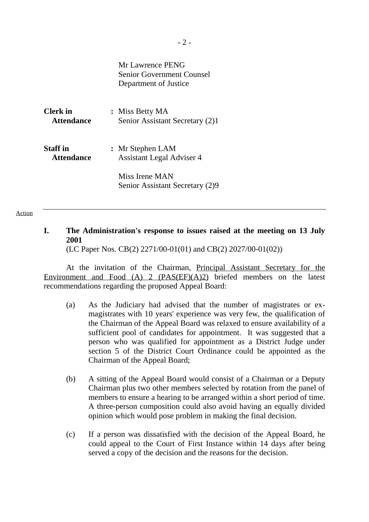|                   | Mr Lawrence PENG<br><b>Senior Government Counsel</b><br>Department of Justice |
|-------------------|-------------------------------------------------------------------------------|
| Clerk in          | : Miss Betty MA                                                               |
| <b>Attendance</b> | Senior Assistant Secretary (2)1                                               |
| <b>Staff</b> in   | : Mr Stephen LAM                                                              |
| <b>Attendance</b> | <b>Assistant Legal Adviser 4</b>                                              |
|                   | Miss Irene MAN<br>Senior Assistant Secretary (2)9                             |

## **I. The Administration's response to issues raised at the meeting on 13 July 2001**

(LC Paper Nos. CB(2) 2271/00-01(01) and CB(2) 2027/00-01(02))

At the invitation of the Chairman, Principal Assistant Secretary for the Environment and Food (A) 2 (PAS(EF)(A)2) briefed members on the latest recommendations regarding the proposed Appeal Board:

- (a) As the Judiciary had advised that the number of magistrates or exmagistrates with 10 years' experience was very few, the qualification of the Chairman of the Appeal Board was relaxed to ensure availability of a sufficient pool of candidates for appointment. It was suggested that a person who was qualified for appointment as a District Judge under section 5 of the District Court Ordinance could be appointed as the Chairman of the Appeal Board;
- (b) A sitting of the Appeal Board would consist of a Chairman or a Deputy Chairman plus two other members selected by rotation from the panel of members to ensure a hearing to be arranged within a short period of time. A three-person composition could also avoid having an equally divided opinion which would pose problem in making the final decision.
- (c) If a person was dissatisfied with the decision of the Appeal Board, he could appeal to the Court of First Instance within 14 days after being served a copy of the decision and the reasons for the decision.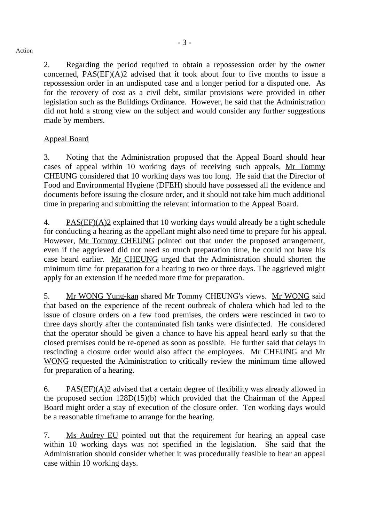2. Regarding the period required to obtain a repossession order by the owner concerned, PAS(EF)(A)2 advised that it took about four to five months to issue a repossession order in an undisputed case and a longer period for a disputed one. As for the recovery of cost as a civil debt, similar provisions were provided in other legislation such as the Buildings Ordinance. However, he said that the Administration did not hold a strong view on the subject and would consider any further suggestions made by members.

## Appeal Board

3. Noting that the Administration proposed that the Appeal Board should hear cases of appeal within 10 working days of receiving such appeals, Mr Tommy CHEUNG considered that 10 working days was too long. He said that the Director of Food and Environmental Hygiene (DFEH) should have possessed all the evidence and documents before issuing the closure order, and it should not take him much additional time in preparing and submitting the relevant information to the Appeal Board.

4. PAS(EF)(A)2 explained that 10 working days would already be a tight schedule for conducting a hearing as the appellant might also need time to prepare for his appeal. However, Mr Tommy CHEUNG pointed out that under the proposed arrangement, even if the aggrieved did not need so much preparation time, he could not have his case heard earlier. Mr CHEUNG urged that the Administration should shorten the minimum time for preparation for a hearing to two or three days. The aggrieved might apply for an extension if he needed more time for preparation.

5. Mr WONG Yung-kan shared Mr Tommy CHEUNG's views. Mr WONG said that based on the experience of the recent outbreak of cholera which had led to the issue of closure orders on a few food premises, the orders were rescinded in two to three days shortly after the contaminated fish tanks were disinfected. He considered that the operator should be given a chance to have his appeal heard early so that the closed premises could be re-opened as soon as possible. He further said that delays in rescinding a closure order would also affect the employees. Mr CHEUNG and Mr WONG requested the Administration to critically review the minimum time allowed for preparation of a hearing.

6. PAS( $E F(A)$ )2 advised that a certain degree of flexibility was already allowed in the proposed section 128D(15)(b) which provided that the Chairman of the Appeal Board might order a stay of execution of the closure order. Ten working days would be a reasonable timeframe to arrange for the hearing.

7. Ms Audrey EU pointed out that the requirement for hearing an appeal case within 10 working days was not specified in the legislation. She said that the Administration should consider whether it was procedurally feasible to hear an appeal case within 10 working days.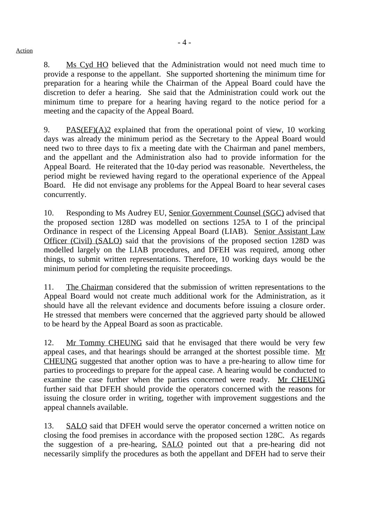8. Ms Cyd HO believed that the Administration would not need much time to provide a response to the appellant. She supported shortening the minimum time for preparation for a hearing while the Chairman of the Appeal Board could have the discretion to defer a hearing. She said that the Administration could work out the minimum time to prepare for a hearing having regard to the notice period for a meeting and the capacity of the Appeal Board.

9. PAS(EF)(A)2 explained that from the operational point of view, 10 working days was already the minimum period as the Secretary to the Appeal Board would need two to three days to fix a meeting date with the Chairman and panel members, and the appellant and the Administration also had to provide information for the Appeal Board. He reiterated that the 10-day period was reasonable. Nevertheless, the period might be reviewed having regard to the operational experience of the Appeal Board. He did not envisage any problems for the Appeal Board to hear several cases concurrently.

10. Responding to Ms Audrey EU, Senior Government Counsel (SGC) advised that the proposed section 128D was modelled on sections 125A to I of the principal Ordinance in respect of the Licensing Appeal Board (LIAB). Senior Assistant Law Officer (Civil) (SALO) said that the provisions of the proposed section 128D was modelled largely on the LIAB procedures, and DFEH was required, among other things, to submit written representations. Therefore, 10 working days would be the minimum period for completing the requisite proceedings.

11. The Chairman considered that the submission of written representations to the Appeal Board would not create much additional work for the Administration, as it should have all the relevant evidence and documents before issuing a closure order. He stressed that members were concerned that the aggrieved party should be allowed to be heard by the Appeal Board as soon as practicable.

12. Mr Tommy CHEUNG said that he envisaged that there would be very few appeal cases, and that hearings should be arranged at the shortest possible time. Mr CHEUNG suggested that another option was to have a pre-hearing to allow time for parties to proceedings to prepare for the appeal case. A hearing would be conducted to examine the case further when the parties concerned were ready. Mr CHEUNG further said that DFEH should provide the operators concerned with the reasons for issuing the closure order in writing, together with improvement suggestions and the appeal channels available.

13. SALO said that DFEH would serve the operator concerned a written notice on closing the food premises in accordance with the proposed section 128C. As regards the suggestion of a pre-hearing, SALO pointed out that a pre-hearing did not necessarily simplify the procedures as both the appellant and DFEH had to serve their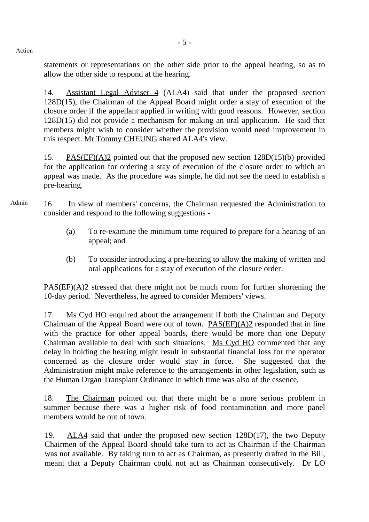statements or representations on the other side prior to the appeal hearing, so as to allow the other side to respond at the hearing.

14. Assistant Legal Adviser 4 (ALA4) said that under the proposed section 128D(15), the Chairman of the Appeal Board might order a stay of execution of the closure order if the appellant applied in writing with good reasons. However, section 128D(15) did not provide a mechanism for making an oral application. He said that members might wish to consider whether the provision would need improvement in this respect. Mr Tommy CHEUNG shared ALA4's view.

15. PAS(EF)(A)2 pointed out that the proposed new section 128D(15)(b) provided for the application for ordering a stay of execution of the closure order to which an appeal was made. As the procedure was simple, he did not see the need to establish a pre-hearing.

- Admin 16. In view of members' concerns, the Chairman requested the Administration to consider and respond to the following suggestions -
	- (a) To re-examine the minimum time required to prepare for a hearing of an appeal; and
	- (b) To consider introducing a pre-hearing to allow the making of written and oral applications for a stay of execution of the closure order.

 $PAS(EF)(A)2$  stressed that there might not be much room for further shortening the 10-day period. Nevertheless, he agreed to consider Members' views.

17. Ms Cyd HO enquired about the arrangement if both the Chairman and Deputy Chairman of the Appeal Board were out of town. PAS(EF)(A)2 responded that in line with the practice for other appeal boards, there would be more than one Deputy Chairman available to deal with such situations. Ms Cyd HO commented that any delay in holding the hearing might result in substantial financial loss for the operator concerned as the closure order would stay in force. She suggested that the Administration might make reference to the arrangements in other legislation, such as the Human Organ Transplant Ordinance in which time was also of the essence.

18. The Chairman pointed out that there might be a more serious problem in summer because there was a higher risk of food contamination and more panel members would be out of town.

19. ALA4 said that under the proposed new section 128D(17), the two Deputy Chairmen of the Appeal Board should take turn to act as Chairman if the Chairman was not available. By taking turn to act as Chairman, as presently drafted in the Bill, meant that a Deputy Chairman could not act as Chairman consecutively. Dr LO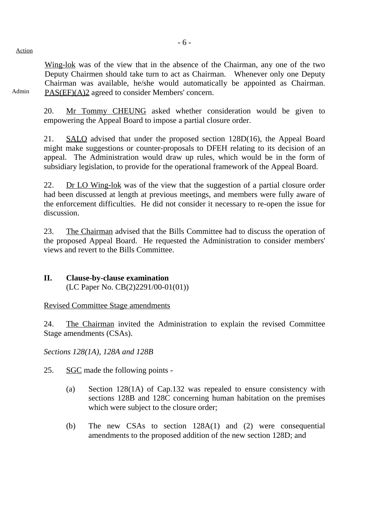Wing-lok was of the view that in the absence of the Chairman, any one of the two Deputy Chairmen should take turn to act as Chairman. Whenever only one Deputy Chairman was available, he/she would automatically be appointed as Chairman. PAS(EF)(A)2 agreed to consider Members' concern.

Admin

20. Mr Tommy CHEUNG asked whether consideration would be given to empowering the Appeal Board to impose a partial closure order.

21. SALO advised that under the proposed section 128D(16), the Appeal Board might make suggestions or counter-proposals to DFEH relating to its decision of an appeal. The Administration would draw up rules, which would be in the form of subsidiary legislation, to provide for the operational framework of the Appeal Board.

22. Dr LO Wing-lok was of the view that the suggestion of a partial closure order had been discussed at length at previous meetings, and members were fully aware of the enforcement difficulties. He did not consider it necessary to re-open the issue for discussion.

23. The Chairman advised that the Bills Committee had to discuss the operation of the proposed Appeal Board. He requested the Administration to consider members' views and revert to the Bills Committee.

## **II. Clause-by-clause examination** (LC Paper No. CB(2)2291/00-01(01))

## Revised Committee Stage amendments

24. The Chairman invited the Administration to explain the revised Committee Stage amendments (CSAs).

*Sections 128(1A), 128A and 128B*

25. SGC made the following points -

- (a) Section 128(1A) of Cap.132 was repealed to ensure consistency with sections 128B and 128C concerning human habitation on the premises which were subject to the closure order;
- (b) The new CSAs to section 128A(1) and (2) were consequential amendments to the proposed addition of the new section 128D; and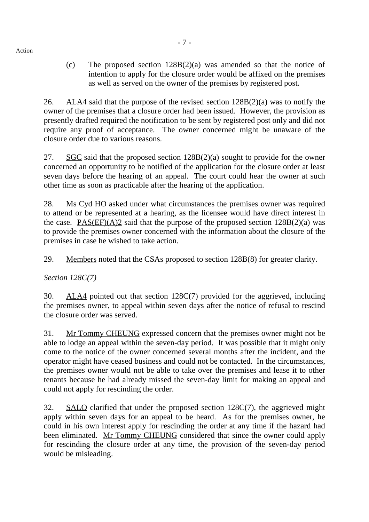(c) The proposed section 128B(2)(a) was amended so that the notice of intention to apply for the closure order would be affixed on the premises as well as served on the owner of the premises by registered post.

26. ALA4 said that the purpose of the revised section  $128B(2)(a)$  was to notify the owner of the premises that a closure order had been issued. However, the provision as presently drafted required the notification to be sent by registered post only and did not require any proof of acceptance. The owner concerned might be unaware of the closure order due to various reasons.

27. SGC said that the proposed section 128B(2)(a) sought to provide for the owner concerned an opportunity to be notified of the application for the closure order at least seven days before the hearing of an appeal. The court could hear the owner at such other time as soon as practicable after the hearing of the application.

28. Ms Cyd HO asked under what circumstances the premises owner was required to attend or be represented at a hearing, as the licensee would have direct interest in the case. PAS(EF)(A)2 said that the purpose of the proposed section  $128B(2)(a)$  was to provide the premises owner concerned with the information about the closure of the premises in case he wished to take action.

29. Members noted that the CSAs proposed to section 128B(8) for greater clarity.

*Section 128C(7)*

30. ALA4 pointed out that section 128C(7) provided for the aggrieved, including the premises owner, to appeal within seven days after the notice of refusal to rescind the closure order was served.

31. Mr Tommy CHEUNG expressed concern that the premises owner might not be able to lodge an appeal within the seven-day period. It was possible that it might only come to the notice of the owner concerned several months after the incident, and the operator might have ceased business and could not be contacted. In the circumstances, the premises owner would not be able to take over the premises and lease it to other tenants because he had already missed the seven-day limit for making an appeal and could not apply for rescinding the order.

32. SALO clarified that under the proposed section 128C(7), the aggrieved might apply within seven days for an appeal to be heard. As for the premises owner, he could in his own interest apply for rescinding the order at any time if the hazard had been eliminated. Mr Tommy CHEUNG considered that since the owner could apply for rescinding the closure order at any time, the provision of the seven-day period would be misleading.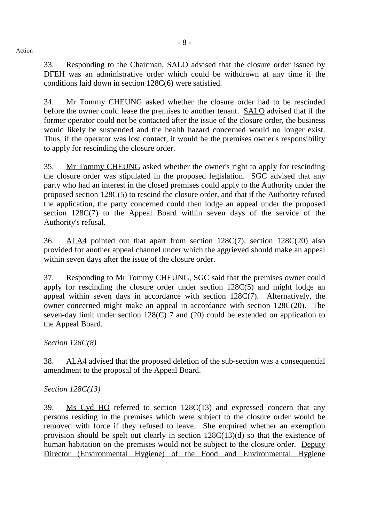33. Responding to the Chairman, SALO advised that the closure order issued by DFEH was an administrative order which could be withdrawn at any time if the conditions laid down in section 128C(6) were satisfied.

34. Mr Tommy CHEUNG asked whether the closure order had to be rescinded before the owner could lease the premises to another tenant. SALO advised that if the former operator could not be contacted after the issue of the closure order, the business would likely be suspended and the health hazard concerned would no longer exist. Thus, if the operator was lost contact, it would be the premises owner's responsibility to apply for rescinding the closure order.

35. Mr Tommy CHEUNG asked whether the owner's right to apply for rescinding the closure order was stipulated in the proposed legislation. SGC advised that any party who had an interest in the closed premises could apply to the Authority under the proposed section 128C(5) to rescind the closure order, and that if the Authority refused the application, the party concerned could then lodge an appeal under the proposed section 128C(7) to the Appeal Board within seven days of the service of the Authority's refusal.

36. ALA4 pointed out that apart from section 128C(7), section 128C(20) also provided for another appeal channel under which the aggrieved should make an appeal within seven days after the issue of the closure order.

37. Responding to Mr Tommy CHEUNG, SGC said that the premises owner could apply for rescinding the closure order under section 128C(5) and might lodge an appeal within seven days in accordance with section 128C(7). Alternatively, the owner concerned might make an appeal in accordance with section 128C(20). The seven-day limit under section 128(C) 7 and (20) could be extended on application to the Appeal Board.

*Section 128C(8)*

38. ALA4 advised that the proposed deletion of the sub-section was a consequential amendment to the proposal of the Appeal Board.

*Section 128C(13)*

39. Ms Cyd HO referred to section 128C(13) and expressed concern that any persons residing in the premises which were subject to the closure order would be removed with force if they refused to leave. She enquired whether an exemption provision should be spelt out clearly in section 128C(13)(d) so that the existence of human habitation on the premises would not be subject to the closure order. Deputy Director (Environmental Hygiene) of the Food and Environmental Hygiene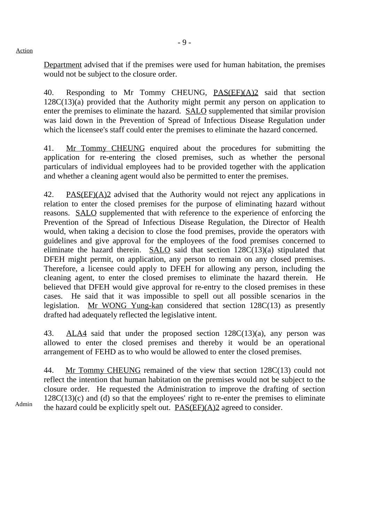Department advised that if the premises were used for human habitation, the premises would not be subject to the closure order.

40. Responding to Mr Tommy CHEUNG, PAS(EF)(A)2 said that section 128C(13)(a) provided that the Authority might permit any person on application to enter the premises to eliminate the hazard. SALO supplemented that similar provision was laid down in the Prevention of Spread of Infectious Disease Regulation under which the licensee's staff could enter the premises to eliminate the hazard concerned.

41. Mr Tommy CHEUNG enquired about the procedures for submitting the application for re-entering the closed premises, such as whether the personal particulars of individual employees had to be provided together with the application and whether a cleaning agent would also be permitted to enter the premises.

42. PAS(EF)(A)2 advised that the Authority would not reject any applications in relation to enter the closed premises for the purpose of eliminating hazard without reasons. SALO supplemented that with reference to the experience of enforcing the Prevention of the Spread of Infectious Disease Regulation, the Director of Health would, when taking a decision to close the food premises, provide the operators with guidelines and give approval for the employees of the food premises concerned to eliminate the hazard therein. SALO said that section 128C(13)(a) stipulated that DFEH might permit, on application, any person to remain on any closed premises. Therefore, a licensee could apply to DFEH for allowing any person, including the cleaning agent, to enter the closed premises to eliminate the hazard therein. He believed that DFEH would give approval for re-entry to the closed premises in these cases. He said that it was impossible to spell out all possible scenarios in the legislation. Mr WONG Yung-kan considered that section 128C(13) as presently drafted had adequately reflected the legislative intent.

43. ALA4 said that under the proposed section 128C(13)(a), any person was allowed to enter the closed premises and thereby it would be an operational arrangement of FEHD as to who would be allowed to enter the closed premises.

44. Mr Tommy CHEUNG remained of the view that section 128C(13) could not reflect the intention that human habitation on the premises would not be subject to the closure order. He requested the Administration to improve the drafting of section  $128C(13)(c)$  and (d) so that the employees' right to re-enter the premises to eliminate the hazard could be explicitly spelt out.  $PAS(EF)(A)2$  agreed to consider.

Admin